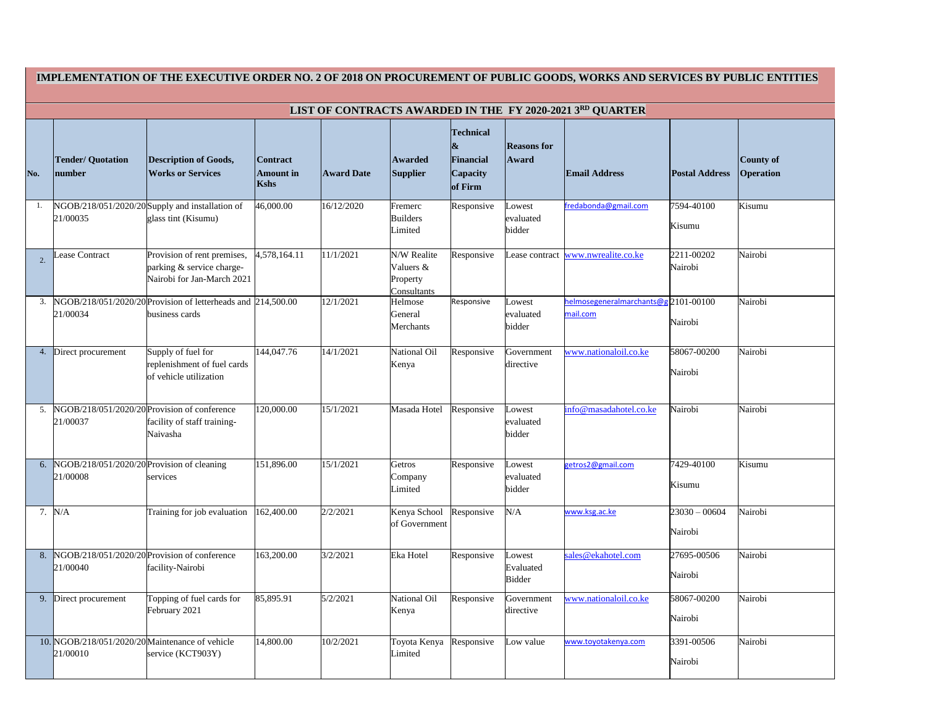| IMPLEMENTATION OF THE EXECUTIVE ORDER NO. 2 OF 2018 ON PROCUREMENT OF PUBLIC GOODS, WORKS AND SERVICES BY PUBLIC ENTITIES |                                                             |                                                                                        |                                                    |                   |                                                     |                                                                                  |                                      |                                                 |                            |                                      |
|---------------------------------------------------------------------------------------------------------------------------|-------------------------------------------------------------|----------------------------------------------------------------------------------------|----------------------------------------------------|-------------------|-----------------------------------------------------|----------------------------------------------------------------------------------|--------------------------------------|-------------------------------------------------|----------------------------|--------------------------------------|
| LIST OF CONTRACTS AWARDED IN THE FY 2020-2021 3RD QUARTER                                                                 |                                                             |                                                                                        |                                                    |                   |                                                     |                                                                                  |                                      |                                                 |                            |                                      |
| No.                                                                                                                       | <b>Tender/ Quotation</b><br><i>number</i>                   | <b>Description of Goods,</b><br><b>Works or Services</b>                               | <b>Contract</b><br><b>Amount in</b><br><b>Kshs</b> | <b>Award Date</b> | <b>Awarded</b><br><b>Supplier</b>                   | <b>Technical</b><br>$\boldsymbol{\&}$<br><b>Financial</b><br>Capacity<br>of Firm | <b>Reasons</b> for<br>Award          | <b>Email Address</b>                            | <b>Postal Address</b>      | <b>County of</b><br><b>Operation</b> |
| 1.                                                                                                                        | 21/00035                                                    | NGOB/218/051/2020/20 Supply and installation of<br>glass tint (Kisumu)                 | 46,000.00                                          | 16/12/2020        | Fremerc<br><b>Builders</b><br>Limited               | Responsive                                                                       | Lowest<br>evaluated<br>bidder        | fredabonda@gmail.com                            | 7594-40100<br>Kisumu       | Kisumu                               |
| 2.                                                                                                                        | Lease Contract                                              | Provision of rent premises,<br>parking & service charge-<br>Nairobi for Jan-March 2021 | 4,578,164.11                                       | 11/1/2021         | N/W Realite<br>Valuers &<br>Property<br>Consultants | Responsive                                                                       | Lease contract                       | www.nwrealite.co.ke                             | 2211-00202<br>Nairobi      | Nairobi                              |
| 3.                                                                                                                        | 21/00034                                                    | NGOB/218/051/2020/20 Provision of letterheads and 214,500.00<br>business cards         |                                                    | 12/1/2021         | Helmose<br>General<br>Merchants                     | Responsive                                                                       | owest<br>evaluated<br>bidder         | helmosegeneralmarchants@g2101-00100<br>mail.com | Nairobi                    | Nairobi                              |
| 4.                                                                                                                        | Direct procurement                                          | Supply of fuel for<br>replenishment of fuel cards<br>of vehicle utilization            | 144,047.76                                         | 14/1/2021         | <b>National Oil</b><br>Kenya                        | Responsive                                                                       | Government<br>directive              | www.nationaloil.co.ke                           | 58067-00200<br>Nairobi     | Nairobi                              |
| 5.                                                                                                                        | NGOB/218/051/2020/20 Provision of conference<br>21/00037    | facility of staff training-<br>Naivasha                                                | 120,000.00                                         | 15/1/2021         | Masada Hotel                                        | Responsive                                                                       | Lowest<br>evaluated<br>bidder        | info@masadahotel.co.ke                          | Nairobi                    | Nairobi                              |
| 6.                                                                                                                        | NGOB/218/051/2020/20 Provision of cleaning<br>21/00008      | services                                                                               | 151,896.00                                         | 15/1/2021         | Getros<br>Company<br>Limited                        | Responsive                                                                       | Lowest<br>evaluated<br>bidder        | getros2@gmail.com                               | 7429-40100<br>Kisumu       | Kisumu                               |
| 7.                                                                                                                        | N/A                                                         | Training for job evaluation                                                            | 162,400.00                                         | 2/2/2021          | Kenya School<br>of Government                       | Responsive                                                                       | N/A                                  | www.ksg.ac.ke                                   | $23030 - 00604$<br>Nairobi | Nairobi                              |
| 8.                                                                                                                        | NGOB/218/051/2020/20 Provision of conference<br>21/00040    | facility-Nairobi                                                                       | 163,200.00                                         | 3/2/2021          | Eka Hotel                                           | Responsive                                                                       | Lowest<br>Evaluated<br><b>Bidder</b> | sales@ekahotel.com                              | 27695-00506<br>Nairobi     | Nairobi                              |
| 9.                                                                                                                        | Direct procurement                                          | Topping of fuel cards for<br>February 2021                                             | 85,895.91                                          | 5/2/2021          | <b>National Oil</b><br>Kenya                        | Responsive                                                                       | Government<br>directive              | www.nationaloil.co.ke                           | 58067-00200<br>Nairobi     | Nairobi                              |
|                                                                                                                           | 10. NGOB/218/051/2020/20 Maintenance of vehicle<br>21/00010 | service (KCT903Y)                                                                      | 14,800.00                                          | 10/2/2021         | Toyota Kenya<br>Limited                             | Responsive                                                                       | Low value                            | www.toyotakenya.com                             | 3391-00506<br>Nairobi      | Nairobi                              |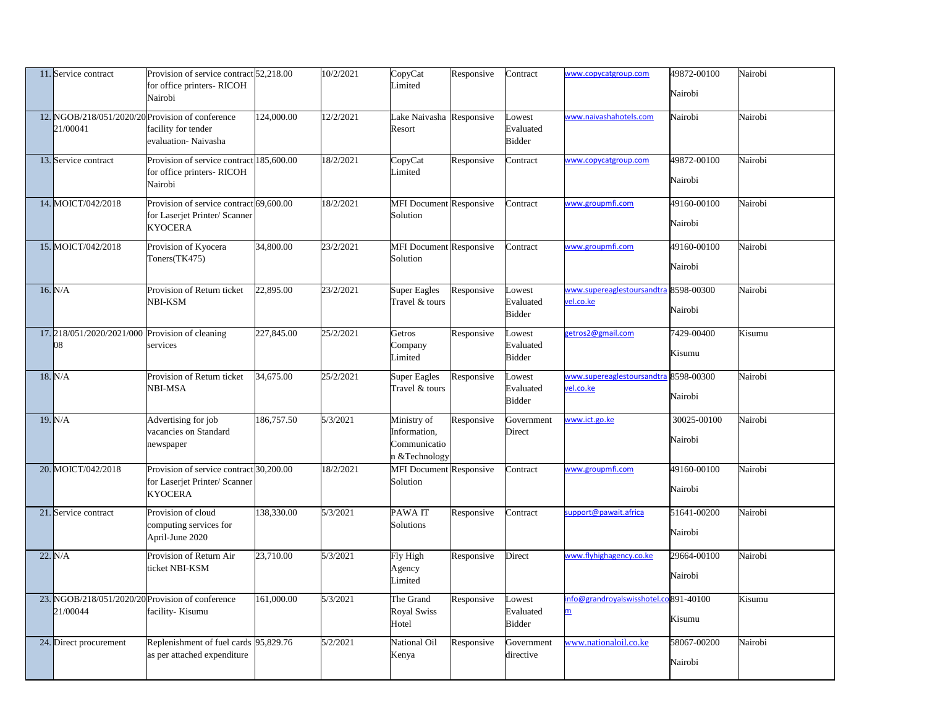| 11. Service contract                                           | Provision of service contract 52,218.00<br>for office printers-RICOH<br>Nairobi            |            | 10/2/2021 | CopyCat<br>Limited                                            | Responsive | Contract                             | www.copycatgroup.com                                             | 49872-00100<br>Nairobi | Nairobi |
|----------------------------------------------------------------|--------------------------------------------------------------------------------------------|------------|-----------|---------------------------------------------------------------|------------|--------------------------------------|------------------------------------------------------------------|------------------------|---------|
| 12. NGOB/218/051/2020/20 Provision of conference<br>21/00041   | facility for tender<br>evaluation-Naivasha                                                 | 124,000.00 | 12/2/2021 | Lake Naivasha Responsive<br>Resort                            |            | Lowest<br>Evaluated<br><b>Bidder</b> | www.naivashahotels.com                                           | Nairobi                | Nairobi |
| 13. Service contract                                           | Provision of service contract 185,600.00<br>for office printers-RICOH<br>Nairobi           |            | 18/2/2021 | CopyCat<br>Limited                                            | Responsive | Contract                             | www.copycatgroup.com                                             | 49872-00100<br>Nairobi | Nairobi |
| 14. MOICT/042/2018                                             | Provision of service contract 69,600.00<br>for Laserjet Printer/ Scanner<br><b>KYOCERA</b> |            | 18/2/2021 | <b>MFI Document Responsive</b><br>Solution                    |            | Contract                             | www.groupmfi.com                                                 | 49160-00100<br>Nairobi | Nairobi |
| 15. MOICT/042/2018                                             | Provision of Kyocera<br>Toners(TK475)                                                      | 34,800.00  | 23/2/2021 | <b>MFI Document Responsive</b><br>Solution                    |            | Contract                             | www.groupmfi.com                                                 | 49160-00100<br>Nairobi | Nairobi |
| 16. N/A                                                        | Provision of Return ticket<br>NBI-KSM                                                      | 22,895.00  | 23/2/2021 | <b>Super Eagles</b><br>Travel & tours                         | Responsive | Lowest<br>Evaluated<br><b>Bidder</b> | www.supereaglestoursandtra 8598-00300<br>vel.co.ke               | Nairobi                | Nairobi |
| 17.218/051/2020/2021/000 Provision of cleaning<br>08           | services                                                                                   | 227,845.00 | 25/2/2021 | Getros<br>Company<br>Limited                                  | Responsive | Lowest<br>Evaluated<br><b>Bidder</b> | getros2@gmail.com                                                | 7429-00400<br>Kisumu   | Kisumu  |
| 18. N/A                                                        | Provision of Return ticket<br><b>NBI-MSA</b>                                               | 34,675.00  | 25/2/2021 | <b>Super Eagles</b><br>Travel & tours                         | Responsive | Lowest<br>Evaluated<br><b>Bidder</b> | www.supereaglestoursandtra<br>vel.co.ke                          | 8598-00300<br>Nairobi  | Nairobi |
| 19. N/A                                                        | Advertising for job<br>vacancies on Standard<br>newspaper                                  | 186,757.50 | 5/3/2021  | Ministry of<br>Information,<br>Communicatio<br>n & Technology | Responsive | Government<br>Direct                 | www.ict.go.ke                                                    | 30025-00100<br>Nairobi | Nairobi |
| 20. MOICT/042/2018                                             | Provision of service contract 30,200.00<br>for Laserjet Printer/ Scanner<br><b>KYOCERA</b> |            | 18/2/2021 | <b>MFI Document Responsive</b><br>Solution                    |            | Contract                             | www.groupmfi.com                                                 | 49160-00100<br>Nairobi | Nairobi |
| 21. Service contract                                           | Provision of cloud<br>computing services for<br>April-June 2020                            | 138,330.00 | 5/3/2021  | PAWA IT<br>Solutions                                          | Responsive | Contract                             | support@pawait.africa                                            | 51641-00200<br>Nairobi | Nairobi |
| 22. N/A                                                        | Provision of Return Air<br>ticket NBI-KSM                                                  | 23,710.00  | 5/3/2021  | Fly High<br>Agency<br>Limited                                 | Responsive | Direct                               | www.flyhighagency.co.ke                                          | 29664-00100<br>Nairobi | Nairobi |
| $23.$ NGOB/218/051/2020/20 Provision of conference<br>21/00044 | facility-Kisumu                                                                            | 161,000.00 | 5/3/2021  | The Grand<br><b>Royal Swiss</b><br>Hotel                      | Responsive | Lowest<br>Evaluated<br><b>Bidder</b> | info@grandroyalswisshotel.co891-40100<br>$\overline{\mathsf{m}}$ | Kisumu                 | Kisumu  |
| 24. Direct procurement                                         | Replenishment of fuel cards 95,829.76<br>as per attached expenditure                       |            | 5/2/2021  | <b>National Oil</b><br>Kenya                                  | Responsive | Government<br>directive              | www.nationaloil.co.ke                                            | 58067-00200<br>Nairobi | Nairobi |